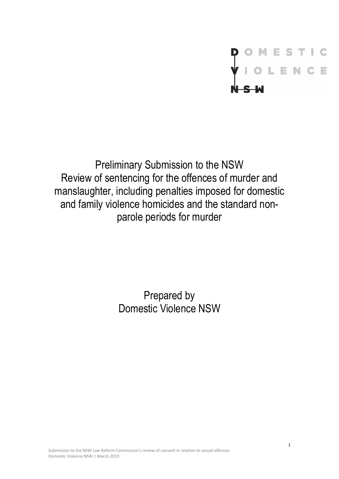# OMESTIC<br>TIOLENCE

Preliminary Submission to the NSW Review of sentencing for the offences of murder and manslaughter, including penalties imposed for domestic and family violence homicides and the standard nonparole periods for murder

> Prepared by Domestic Violence NSW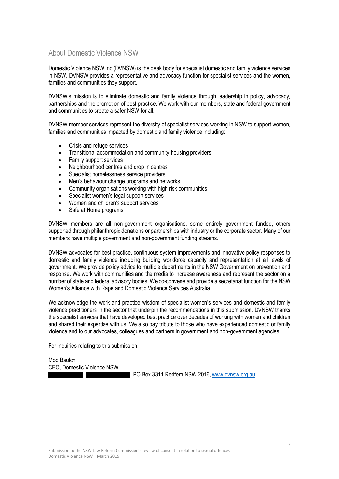### <span id="page-1-0"></span>About Domestic Violence NSW

Domestic Violence NSW Inc (DVNSW) is the peak body for specialist domestic and family violence services in NSW. DVNSW provides a representative and advocacy function for specialist services and the women, families and communities they support.

DVNSW's mission is to eliminate domestic and family violence through leadership in policy, advocacy, partnerships and the promotion of best practice. We work with our members, state and federal government and communities to create a safer NSW for all.

DVNSW member services represent the diversity of specialist services working in NSW to support women, families and communities impacted by domestic and family violence including:

- Crisis and refuge services
- Transitional accommodation and community housing providers
- Family support services
- Neighbourhood centres and drop in centres
- Specialist homelessness service providers
- Men's behaviour change programs and networks
- Community organisations working with high risk communities
- Specialist women's legal support services
- Women and children's support services
- Safe at Home programs

DVNSW members are all non-government organisations, some entirely government funded, others supported through philanthropic donations or partnerships with industry or the corporate sector. Many of our members have multiple government and non-government funding streams.

DVNSW advocates for best practice, continuous system improvements and innovative policy responses to domestic and family violence including building workforce capacity and representation at all levels of government. We provide policy advice to multiple departments in the NSW Government on prevention and response. We work with communities and the media to increase awareness and represent the sector on a number of state and federal advisory bodies. We co-convene and provide a secretariat function for the NSW Women's Alliance with Rape and Domestic Violence Services Australia.

We acknowledge the work and practice wisdom of specialist women's services and domestic and family violence practitioners in the sector that underpin the recommendations in this submission. DVNSW thanks the specialist services that have developed best practice over decades of working with women and children and shared their expertise with us. We also pay tribute to those who have experienced domestic or family violence and to our advocates, colleagues and partners in government and non-government agencies.

For inquiries relating to this submission:

Moo Baulch CEO, Domestic Violence NSW

, , PO Box 3311 Redfern NSW 2016, www.dvnsw.org.au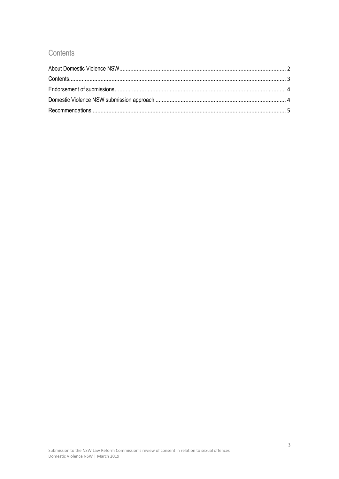# <span id="page-2-0"></span>Contents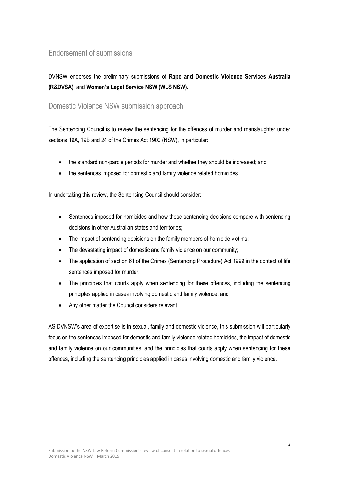## <span id="page-3-0"></span>Endorsement of submissions

# DVNSW endorses the preliminary submissions of **Rape and Domestic Violence Services Australia (R&DVSA)**, and **Women's Legal Service NSW (WLS NSW).**

### <span id="page-3-1"></span>Domestic Violence NSW submission approach

The Sentencing Council is to review the sentencing for the offences of murder and manslaughter under sections 19A, 19B and 24 of the Crimes Act 1900 (NSW), in particular:

- the standard non-parole periods for murder and whether they should be increased; and
- the sentences imposed for domestic and family violence related homicides.

In undertaking this review, the Sentencing Council should consider:

- Sentences imposed for homicides and how these sentencing decisions compare with sentencing decisions in other Australian states and territories;
- The impact of sentencing decisions on the family members of homicide victims;
- The devastating impact of domestic and family violence on our community;
- The application of section 61 of the Crimes (Sentencing Procedure) Act 1999 in the context of life sentences imposed for murder;
- The principles that courts apply when sentencing for these offences, including the sentencing principles applied in cases involving domestic and family violence; and
- Any other matter the Council considers relevant.

AS DVNSW's area of expertise is in sexual, family and domestic violence, this submission will particularly focus on the sentences imposed for domestic and family violence related homicides, the impact of domestic and family violence on our communities, and the principles that courts apply when sentencing for these offences, including the sentencing principles applied in cases involving domestic and family violence.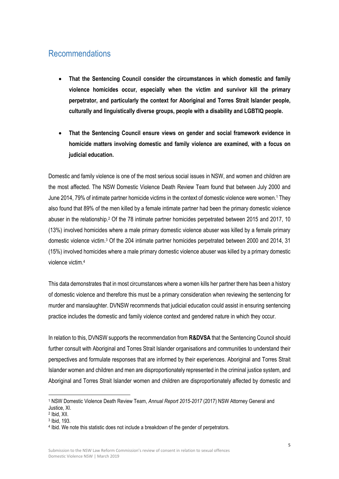# <span id="page-4-0"></span>Recommendations

- **That the Sentencing Council consider the circumstances in which domestic and family violence homicides occur, especially when the victim and survivor kill the primary perpetrator, and particularly the context for Aboriginal and Torres Strait Islander people, culturally and linguistically diverse groups, people with a disability and LGBTIQ people.**
- **That the Sentencing Council ensure views on gender and social framework evidence in homicide matters involving domestic and family violence are examined, with a focus on judicial education.**

Domestic and family violence is one of the most serious social issues in NSW, and women and children are the most affected. The NSW Domestic Violence Death Review Team found that between July 2000 and June 2014, 79% of intimate partner homicide victims in the context of domestic violence were women. <sup>1</sup> They also found that 89% of the men killed by a female intimate partner had been the primary domestic violence abuser in the relationship.<sup>2</sup> Of the 78 intimate partner homicides perpetrated between 2015 and 2017, 10 (13%) involved homicides where a male primary domestic violence abuser was killed by a female primary domestic violence victim.<sup>3</sup> Of the 204 intimate partner homicides perpetrated between 2000 and 2014, 31 (15%) involved homicides where a male primary domestic violence abuser was killed by a primary domestic violence victim.<sup>4</sup>

This data demonstrates that in most circumstances where a women kills her partner there has been a history of domestic violence and therefore this must be a primary consideration when reviewing the sentencing for murder and manslaughter. DVNSW recommends that judicial education could assist in ensuring sentencing practice includes the domestic and family violence context and gendered nature in which they occur.

In relation to this, DVNSW supports the recommendation from **R&DVSA** that the Sentencing Council should further consult with Aboriginal and Torres Strait Islander organisations and communities to understand their perspectives and formulate responses that are informed by their experiences. Aboriginal and Torres Strait Islander women and children and men are disproportionately represented in the criminal justice system, and Aboriginal and Torres Strait Islander women and children are disproportionately affected by domestic and

 $\overline{a}$ 

<sup>1</sup> NSW Domestic Violence Death Review Team, *Annual Report 2015-2017* (2017) NSW Attorney General and Justice, XI.

<sup>2</sup> Ibid, XII.

<sup>3</sup> Ibid, 193.

<sup>4</sup> Ibid. We note this statistic does not include a breakdown of the gender of perpetrators.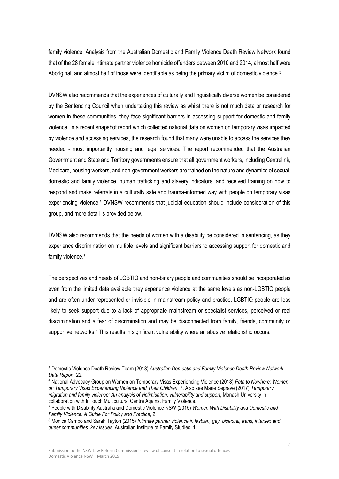family violence. Analysis from the Australian Domestic and Family Violence Death Review Network found that of the 28 female intimate partner violence homicide offenders between 2010 and 2014, almost half were Aboriginal, and almost half of those were identifiable as being the primary victim of domestic violence.<sup>5</sup>

DVNSW also recommends that the experiences of culturally and linguistically diverse women be considered by the Sentencing Council when undertaking this review as whilst there is not much data or research for women in these communities, they face significant barriers in accessing support for domestic and family violence. In a recent snapshot report which collected national data on women on temporary visas impacted by violence and accessing services, the research found that many were unable to access the services they needed - most importantly housing and legal services. The report recommended that the Australian Government and State and Territory governments ensure that all government workers, including Centrelink, Medicare, housing workers, and non-government workers are trained on the nature and dynamics of sexual, domestic and family violence, human trafficking and slavery indicators, and received training on how to respond and make referrals in a culturally safe and trauma-informed way with people on temporary visas experiencing violence. <sup>6</sup> DVNSW recommends that judicial education should include consideration of this group, and more detail is provided below.

DVNSW also recommends that the needs of women with a disability be considered in sentencing, as they experience discrimination on multiple levels and significant barriers to accessing support for domestic and family violence.<sup>7</sup>

The perspectives and needs of LGBTIQ and non-binary people and communities should be incorporated as even from the limited data available they experience violence at the same levels as non-LGBTIQ people and are often under-represented or invisible in mainstream policy and practice. LGBTIQ people are less likely to seek support due to a lack of appropriate mainstream or specialist services, perceived or real discrimination and a fear of discrimination and may be disconnected from family, friends, community or supportive networks.<sup>8</sup> This results in significant vulnerability where an abusive relationship occurs.

 $\overline{a}$ 

<sup>5</sup> Domestic Violence Death Review Team (2018) *Australian Domestic and Family Violence Death Review Network Data Report*, 22.

<sup>6</sup> National Advocacy Group on Women on Temporary Visas Experiencing Violence (2018) *Path to Nowhere: Women on Temporary Visas Experiencing Violence and Their Children*, 7. Also see Marie Segrave (2017) *Temporary migration and family violence: An analysis of victimisation, vulnerability and support*, Monash University in collaboration with InTouch Multicultural Centre Against Family Violence.

<sup>7</sup> People with Disability Australia and Domestic Violence NSW (2015) *Women With Disability and Domestic and Family Violence: A Guide For Policy and Practice*, 2.

<sup>8</sup> Monica Campo and Sarah Tayton (2015) *Intimate partner violence in lesbian, gay, bisexual, trans, intersex and queer communities: key issues*, Australian Institute of Family Studies, 1.